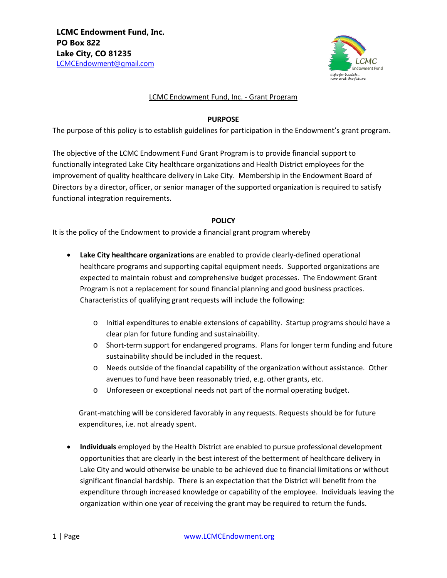

#### LCMC Endowment Fund, Inc. - Grant Program

#### **PURPOSE**

The purpose of this policy is to establish guidelines for participation in the Endowment's grant program.

The objective of the LCMC Endowment Fund Grant Program is to provide financial support to functionally integrated Lake City healthcare organizations and Health District employees for the improvement of quality healthcare delivery in Lake City. Membership in the Endowment Board of Directors by a director, officer, or senior manager of the supported organization is required to satisfy functional integration requirements.

## **POLICY**

It is the policy of the Endowment to provide a financial grant program whereby

- **Lake City healthcare organizations** are enabled to provide clearly-defined operational healthcare programs and supporting capital equipment needs. Supported organizations are expected to maintain robust and comprehensive budget processes. The Endowment Grant Program is not a replacement for sound financial planning and good business practices. Characteristics of qualifying grant requests will include the following:
	- o Initial expenditures to enable extensions of capability. Startup programs should have a clear plan for future funding and sustainability.
	- o Short-term support for endangered programs. Plans for longer term funding and future sustainability should be included in the request.
	- o Needs outside of the financial capability of the organization without assistance. Other avenues to fund have been reasonably tried, e.g. other grants, etc.
	- o Unforeseen or exceptional needs not part of the normal operating budget.

Grant-matching will be considered favorably in any requests. Requests should be for future expenditures, i.e. not already spent.

• **Individuals** employed by the Health District are enabled to pursue professional development opportunities that are clearly in the best interest of the betterment of healthcare delivery in Lake City and would otherwise be unable to be achieved due to financial limitations or without significant financial hardship. There is an expectation that the District will benefit from the expenditure through increased knowledge or capability of the employee. Individuals leaving the organization within one year of receiving the grant may be required to return the funds.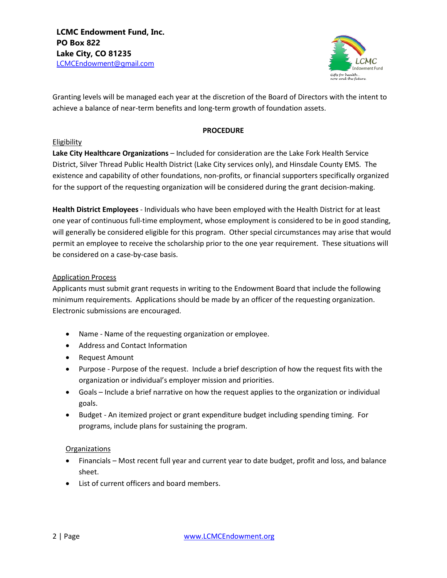

Granting levels will be managed each year at the discretion of the Board of Directors with the intent to achieve a balance of near-term benefits and long-term growth of foundation assets.

#### **PROCEDURE**

## **Eligibility**

**Lake City Healthcare Organizations** – Included for consideration are the Lake Fork Health Service District, Silver Thread Public Health District (Lake City services only), and Hinsdale County EMS. The existence and capability of other foundations, non-profits, or financial supporters specifically organized for the support of the requesting organization will be considered during the grant decision-making.

**Health District Employees** - Individuals who have been employed with the Health District for at least one year of continuous full-time employment, whose employment is considered to be in good standing, will generally be considered eligible for this program. Other special circumstances may arise that would permit an employee to receive the scholarship prior to the one year requirement. These situations will be considered on a case-by-case basis.

# Application Process

Applicants must submit grant requests in writing to the Endowment Board that include the following minimum requirements. Applications should be made by an officer of the requesting organization. Electronic submissions are encouraged.

- Name Name of the requesting organization or employee.
- Address and Contact Information
- Request Amount
- Purpose Purpose of the request. Include a brief description of how the request fits with the organization or individual's employer mission and priorities.
- Goals Include a brief narrative on how the request applies to the organization or individual goals.
- Budget An itemized project or grant expenditure budget including spending timing. For programs, include plans for sustaining the program.

## **Organizations**

- Financials Most recent full year and current year to date budget, profit and loss, and balance sheet.
- List of current officers and board members.